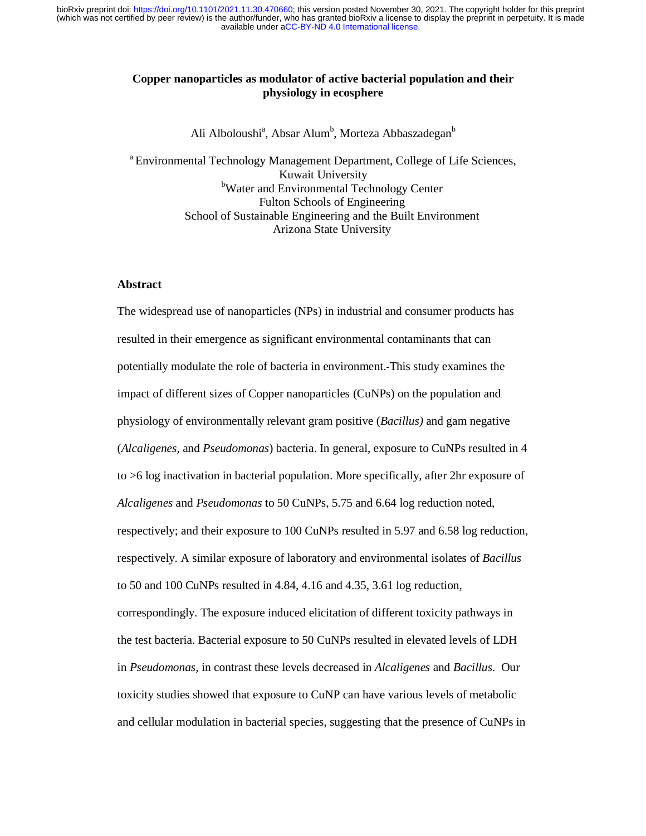## **Copper nanoparticles as modulator of active bacterial population and their physiology in ecosphere**

Ali Alboloushi<sup>a</sup>, Absar Alum<sup>b</sup>, Morteza Abbaszadegan<sup>b</sup>

a Environmental Technology Management Department, College of Life Sciences, Kuwait University <sup>b</sup>Water and Environmental Technology Center Fulton Schools of Engineering School of Sustainable Engineering and the Built Environment Arizona State University

# **Abstract**

The widespread use of nanoparticles (NPs) in industrial and consumer products has resulted in their emergence as significant environmental contaminants that can potentially modulate the role of bacteria in environment. This study examines the impact of different sizes of Copper nanoparticles (CuNPs) on the population and physiology of environmentally relevant gram positive (*Bacillus)* and gam negative (*Alcaligenes,* and *Pseudomonas*) bacteria. In general, exposure to CuNPs resulted in 4 to >6 log inactivation in bacterial population. More specifically, after 2hr exposure of *Alcaligenes* and *Pseudomonas* to 50 CuNPs, 5.75 and 6.64 log reduction noted, respectively; and their exposure to 100 CuNPs resulted in 5.97 and 6.58 log reduction, respectively. A similar exposure of laboratory and environmental isolates of *Bacillus* to 50 and 100 CuNPs resulted in 4.84, 4.16 and 4.35, 3.61 log reduction, correspondingly. The exposure induced elicitation of different toxicity pathways in the test bacteria. Bacterial exposure to 50 CuNPs resulted in elevated levels of LDH in *Pseudomonas,* in contrast these levels decreased in *Alcaligenes* and *Bacillus*. Our toxicity studies showed that exposure to CuNP can have various levels of metabolic and cellular modulation in bacterial species, suggesting that the presence of CuNPs in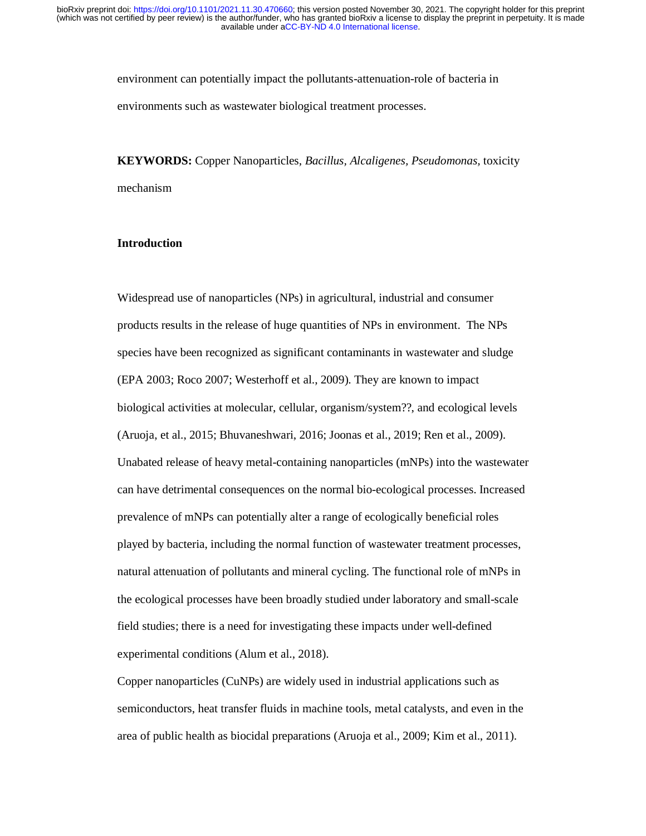environment can potentially impact the pollutants-attenuation-role of bacteria in environments such as wastewater biological treatment processes.

**KEYWORDS:** Copper Nanoparticles, *Bacillus, Alcaligenes, Pseudomonas,* toxicity mechanism

# **Introduction**

Widespread use of nanoparticles (NPs) in agricultural, industrial and consumer products results in the release of huge quantities of NPs in environment. The NPs species have been recognized as significant contaminants in wastewater and sludge (EPA 2003; Roco 2007; Westerhoff et al., 2009). They are known to impact biological activities at molecular, cellular, organism/system??, and ecological levels (Aruoja, et al., 2015; Bhuvaneshwari, 2016; Joonas et al., 2019; Ren et al., 2009). Unabated release of heavy metal-containing nanoparticles (mNPs) into the wastewater can have detrimental consequences on the normal bio-ecological processes. Increased prevalence of mNPs can potentially alter a range of ecologically beneficial roles played by bacteria, including the normal function of wastewater treatment processes, natural attenuation of pollutants and mineral cycling. The functional role of mNPs in the ecological processes have been broadly studied under laboratory and small-scale field studies; there is a need for investigating these impacts under well-defined experimental conditions (Alum et al., 2018).

Copper nanoparticles (CuNPs) are widely used in industrial applications such as semiconductors, heat transfer fluids in machine tools, metal catalysts, and even in the area of public health as biocidal preparations (Aruoja et al., 2009; Kim et al., 2011).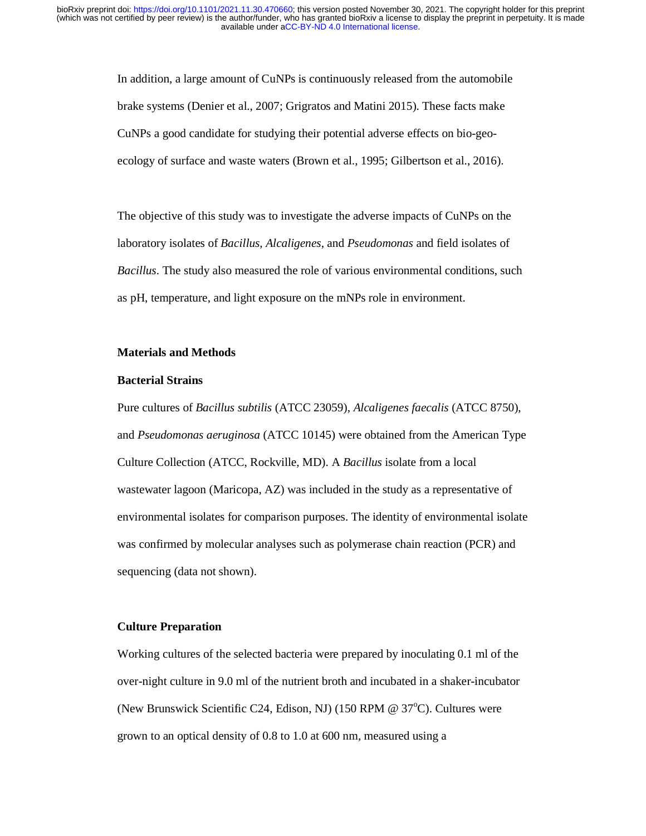In addition, a large amount of CuNPs is continuously released from the automobile brake systems (Denier et al., 2007; Grigratos and Matini 2015). These facts make CuNPs a good candidate for studying their potential adverse effects on bio-geoecology of surface and waste waters (Brown et al., 1995; Gilbertson et al., 2016).

The objective of this study was to investigate the adverse impacts of CuNPs on the laboratory isolates of *Bacillus, Alcaligenes,* and *Pseudomonas* and field isolates of *Bacillus*. The study also measured the role of various environmental conditions, such as pH, temperature, and light exposure on the mNPs role in environment.

#### **Materials and Methods**

#### **Bacterial Strains**

Pure cultures of *Bacillus subtilis* (ATCC 23059), *Alcaligenes faecalis* (ATCC 8750), and *Pseudomonas aeruginosa* (ATCC 10145) were obtained from the American Type Culture Collection (ATCC, Rockville, MD). A *Bacillus* isolate from a local wastewater lagoon (Maricopa, AZ) was included in the study as a representative of environmental isolates for comparison purposes. The identity of environmental isolate was confirmed by molecular analyses such as polymerase chain reaction (PCR) and sequencing (data not shown).

## **Culture Preparation**

Working cultures of the selected bacteria were prepared by inoculating 0.1 ml of the over-night culture in 9.0 ml of the nutrient broth and incubated in a shaker-incubator (New Brunswick Scientific C24, Edison, NJ) (150 RPM @  $37^{\circ}$ C). Cultures were grown to an optical density of 0.8 to 1.0 at 600 nm, measured using a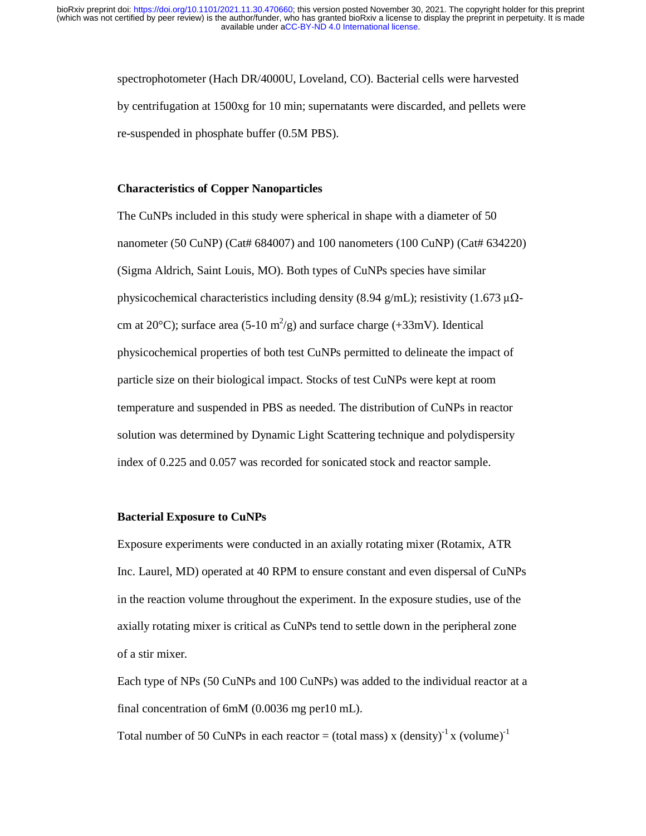spectrophotometer (Hach DR/4000U, Loveland, CO). Bacterial cells were harvested by centrifugation at 1500xg for 10 min; supernatants were discarded, and pellets were re-suspended in phosphate buffer (0.5M PBS).

#### **Characteristics of Copper Nanoparticles**

The CuNPs included in this study were spherical in shape with a diameter of 50 nanometer (50 CuNP) (Cat# 684007) and 100 nanometers (100 CuNP) (Cat# 634220) (Sigma Aldrich, Saint Louis, MO). Both types of CuNPs species have similar physicochemical characteristics including density (8.94 g/mL); resistivity (1.673 μΩcm at 20 $^{\circ}$ C); surface area (5-10 m<sup>2</sup>/g) and surface charge (+33mV). Identical physicochemical properties of both test CuNPs permitted to delineate the impact of particle size on their biological impact. Stocks of test CuNPs were kept at room temperature and suspended in PBS as needed. The distribution of CuNPs in reactor solution was determined by Dynamic Light Scattering technique and polydispersity index of 0.225 and 0.057 was recorded for sonicated stock and reactor sample.

## **Bacterial Exposure to CuNPs**

Exposure experiments were conducted in an axially rotating mixer (Rotamix, ATR Inc. Laurel, MD) operated at 40 RPM to ensure constant and even dispersal of CuNPs in the reaction volume throughout the experiment. In the exposure studies, use of the axially rotating mixer is critical as CuNPs tend to settle down in the peripheral zone of a stir mixer.

Each type of NPs (50 CuNPs and 100 CuNPs) was added to the individual reactor at a final concentration of 6mM (0.0036 mg per10 mL).

Total number of 50 CuNPs in each reactor = (total mass) x (density)<sup>-1</sup> x (volume)<sup>-1</sup>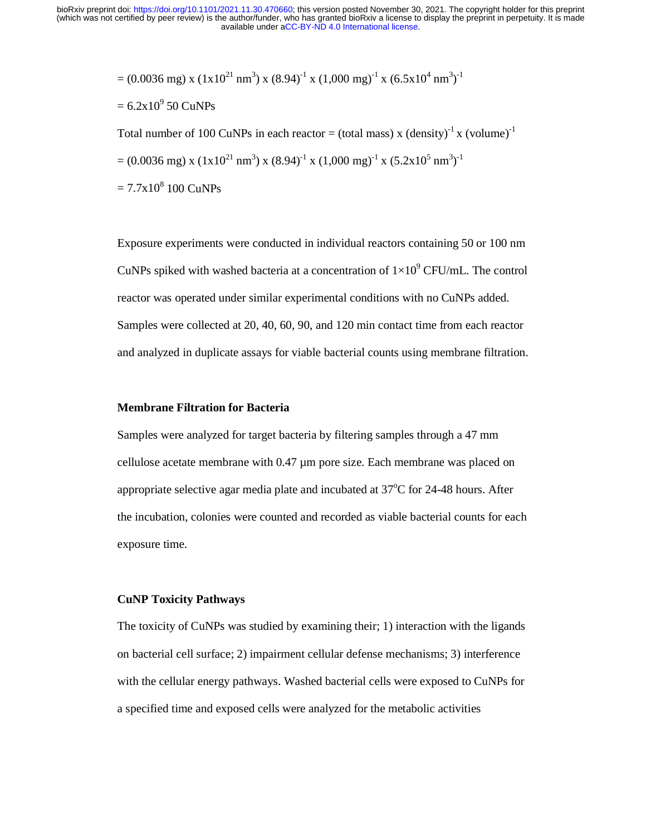$$
= (0.0036 \text{ mg}) \times (1 \times 10^{21} \text{ nm}^3) \times (8.94)^{-1} \times (1,000 \text{ mg})^{-1} \times (6.5 \times 10^4 \text{ nm}^3)^{-1}
$$

 $= 6.2x10^950 \text{ CuNPs}$ 

Total number of 100 CuNPs in each reactor = (total mass) x (density)<sup>-1</sup> x (volume)<sup>-1</sup>  $=(0.0036 \text{ mg}) \times (1 \times 10^{21} \text{ nm}^3) \times (8.94)^{-1} \times (1,000 \text{ mg})^{-1} \times (5.2 \times 10^5 \text{ nm}^3)^{-1}$ 

 $= 7.7x10^8 100 \text{ CuNPs}$ 

Exposure experiments were conducted in individual reactors containing 50 or 100 nm CuNPs spiked with washed bacteria at a concentration of  $1 \times 10^9$  CFU/mL. The control reactor was operated under similar experimental conditions with no CuNPs added. Samples were collected at 20, 40, 60, 90, and 120 min contact time from each reactor and analyzed in duplicate assays for viable bacterial counts using membrane filtration.

## **Membrane Filtration for Bacteria**

Samples were analyzed for target bacteria by filtering samples through a 47 mm cellulose acetate membrane with 0.47 µm pore size. Each membrane was placed on appropriate selective agar media plate and incubated at  $37^{\circ}$ C for 24-48 hours. After the incubation, colonies were counted and recorded as viable bacterial counts for each exposure time.

#### **CuNP Toxicity Pathways**

The toxicity of CuNPs was studied by examining their; 1) interaction with the ligands on bacterial cell surface; 2) impairment cellular defense mechanisms; 3) interference with the cellular energy pathways. Washed bacterial cells were exposed to CuNPs for a specified time and exposed cells were analyzed for the metabolic activities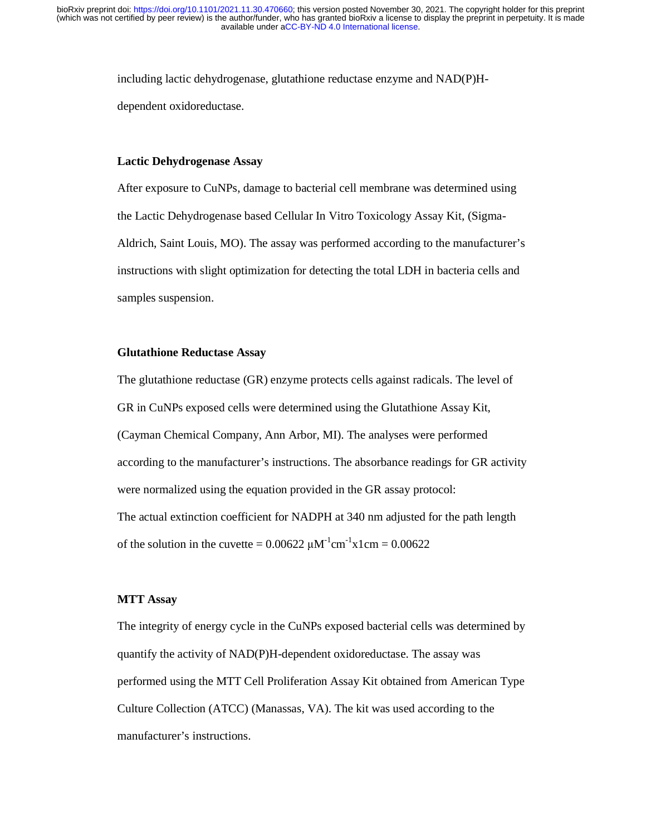including lactic dehydrogenase, glutathione reductase enzyme and NAD(P)Hdependent oxidoreductase.

#### **Lactic Dehydrogenase Assay**

After exposure to CuNPs, damage to bacterial cell membrane was determined using the Lactic Dehydrogenase based Cellular In Vitro Toxicology Assay Kit, (Sigma-Aldrich, Saint Louis, MO). The assay was performed according to the manufacturer's instructions with slight optimization for detecting the total LDH in bacteria cells and samples suspension.

## **Glutathione Reductase Assay**

The glutathione reductase (GR) enzyme protects cells against radicals. The level of GR in CuNPs exposed cells were determined using the Glutathione Assay Kit, (Cayman Chemical Company, Ann Arbor, MI). The analyses were performed according to the manufacturer's instructions. The absorbance readings for GR activity were normalized using the equation provided in the GR assay protocol: The actual extinction coefficient for NADPH at 340 nm adjusted for the path length of the solution in the cuvette =  $0.00622 \mu M^{-1}cm^{-1}x1cm = 0.00622$ 

## **MTT Assay**

The integrity of energy cycle in the CuNPs exposed bacterial cells was determined by quantify the activity of NAD(P)H-dependent oxidoreductase. The assay was performed using the MTT Cell Proliferation Assay Kit obtained from American Type Culture Collection (ATCC) (Manassas, VA). The kit was used according to the manufacturer's instructions.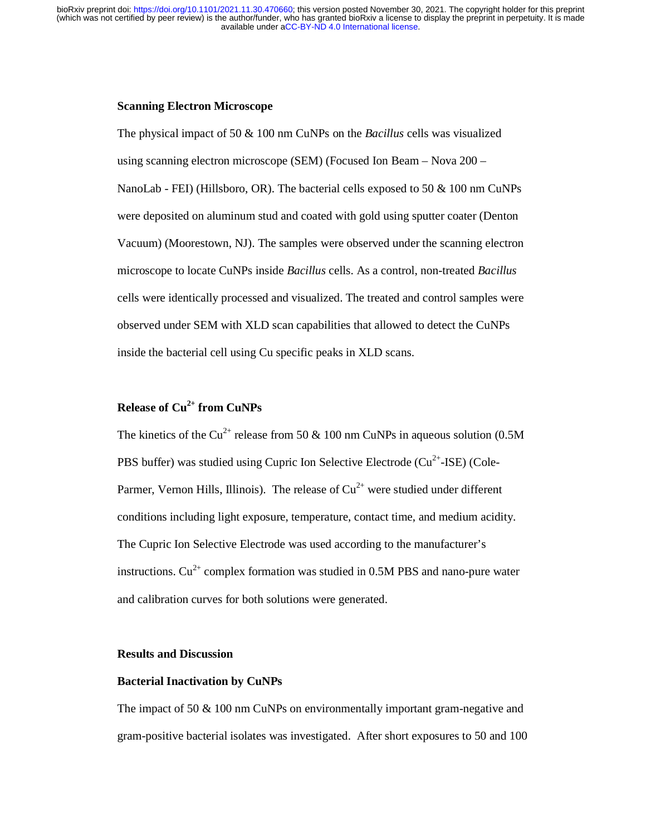#### **Scanning Electron Microscope**

The physical impact of 50 & 100 nm CuNPs on the *Bacillus* cells was visualized using scanning electron microscope (SEM) (Focused Ion Beam – Nova 200 – NanoLab - FEI) (Hillsboro, OR). The bacterial cells exposed to 50 & 100 nm CuNPs were deposited on aluminum stud and coated with gold using sputter coater (Denton Vacuum) (Moorestown, NJ). The samples were observed under the scanning electron microscope to locate CuNPs inside *Bacillus* cells. As a control, non-treated *Bacillus*  cells were identically processed and visualized. The treated and control samples were observed under SEM with XLD scan capabilities that allowed to detect the CuNPs inside the bacterial cell using Cu specific peaks in XLD scans.

# **Release of Cu2+ from CuNPs**

The kinetics of the Cu<sup>2+</sup> release from 50 & 100 nm CuNPs in aqueous solution (0.5M) PBS buffer) was studied using Cupric Ion Selective Electrode ( $Cu^{2+}$ -ISE) (Cole-Parmer, Vernon Hills, Illinois). The release of  $Cu^{2+}$  were studied under different conditions including light exposure, temperature, contact time, and medium acidity. The Cupric Ion Selective Electrode was used according to the manufacturer's instructions.  $Cu^{2+}$  complex formation was studied in 0.5M PBS and nano-pure water and calibration curves for both solutions were generated.

## **Results and Discussion**

## **Bacterial Inactivation by CuNPs**

The impact of 50 & 100 nm CuNPs on environmentally important gram-negative and gram-positive bacterial isolates was investigated. After short exposures to 50 and 100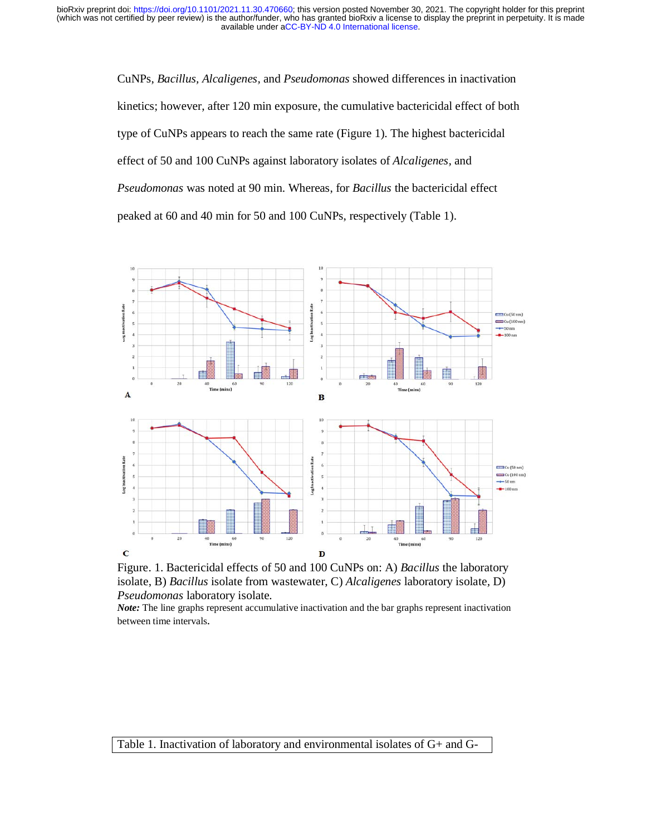CuNPs, *Bacillus, Alcaligenes,* and *Pseudomonas* showed differences in inactivation kinetics; however, after 120 min exposure, the cumulative bactericidal effect of both type of CuNPs appears to reach the same rate (Figure 1). The highest bactericidal effect of 50 and 100 CuNPs against laboratory isolates of *Alcaligenes,* and *Pseudomonas* was noted at 90 min. Whereas, for *Bacillus* the bactericidal effect peaked at 60 and 40 min for 50 and 100 CuNPs, respectively (Table 1).



Figure. 1. Bactericidal effects of 50 and 100 CuNPs on: A) *Bacillus* the laboratory isolate, B) *Bacillus* isolate from wastewater, C) *Alcaligenes* laboratory isolate*,* D) *Pseudomonas* laboratory isolate*.*

*Note:* The line graphs represent accumulative inactivation and the bar graphs represent inactivation between time intervals.

Table 1. Inactivation of laboratory and environmental isolates of G+ and G-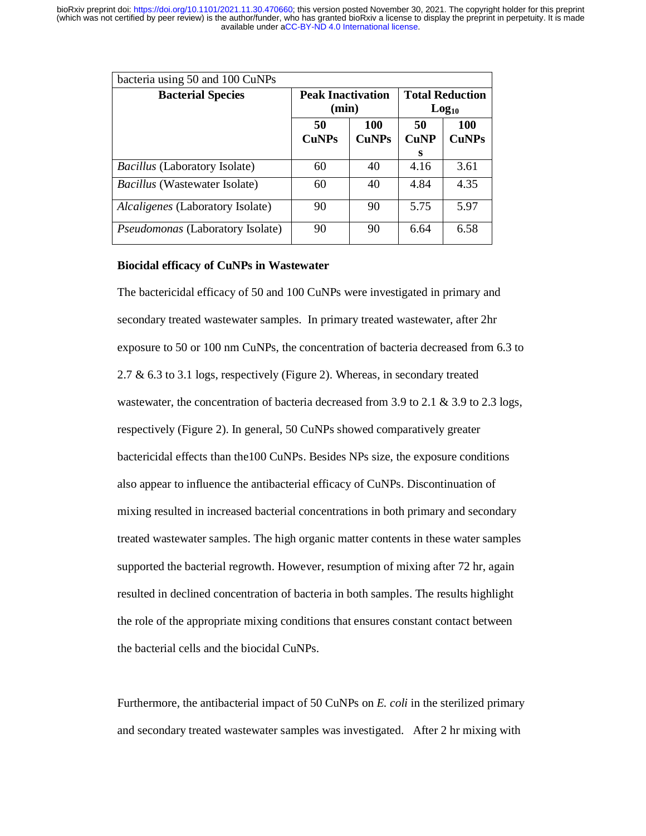| bacteria using 50 and 100 CuNPs         |                                   |                     |                                             |                     |  |  |
|-----------------------------------------|-----------------------------------|---------------------|---------------------------------------------|---------------------|--|--|
| <b>Bacterial Species</b>                | <b>Peak Inactivation</b><br>(min) |                     | <b>Total Reduction</b><br>Log <sub>10</sub> |                     |  |  |
|                                         | 50<br><b>CuNPs</b>                | 100<br><b>CuNPs</b> | 50<br><b>CuNP</b>                           | 100<br><b>CuNPs</b> |  |  |
|                                         |                                   |                     | S                                           |                     |  |  |
| <i>Bacillus</i> (Laboratory Isolate)    | 60                                | 40                  | 4.16                                        | 3.61                |  |  |
| Bacillus (Wastewater Isolate)           | 60                                | 40                  | 4.84                                        | 4.35                |  |  |
| <i>Alcaligenes</i> (Laboratory Isolate) | 90                                | 90                  | 5.75                                        | 5.97                |  |  |
| <i>Pseudomonas</i> (Laboratory Isolate) | 90                                | 90                  | 6.64                                        | 6.58                |  |  |

#### **Biocidal efficacy of CuNPs in Wastewater**

The bactericidal efficacy of 50 and 100 CuNPs were investigated in primary and secondary treated wastewater samples. In primary treated wastewater, after 2hr exposure to 50 or 100 nm CuNPs, the concentration of bacteria decreased from 6.3 to 2.7 & 6.3 to 3.1 logs, respectively (Figure 2). Whereas, in secondary treated wastewater, the concentration of bacteria decreased from 3.9 to 2.1 & 3.9 to 2.3 logs, respectively (Figure 2). In general, 50 CuNPs showed comparatively greater bactericidal effects than the100 CuNPs. Besides NPs size, the exposure conditions also appear to influence the antibacterial efficacy of CuNPs. Discontinuation of mixing resulted in increased bacterial concentrations in both primary and secondary treated wastewater samples. The high organic matter contents in these water samples supported the bacterial regrowth. However, resumption of mixing after 72 hr, again resulted in declined concentration of bacteria in both samples. The results highlight the role of the appropriate mixing conditions that ensures constant contact between the bacterial cells and the biocidal CuNPs.

Furthermore, the antibacterial impact of 50 CuNPs on *E. coli* in the sterilized primary and secondary treated wastewater samples was investigated. After 2 hr mixing with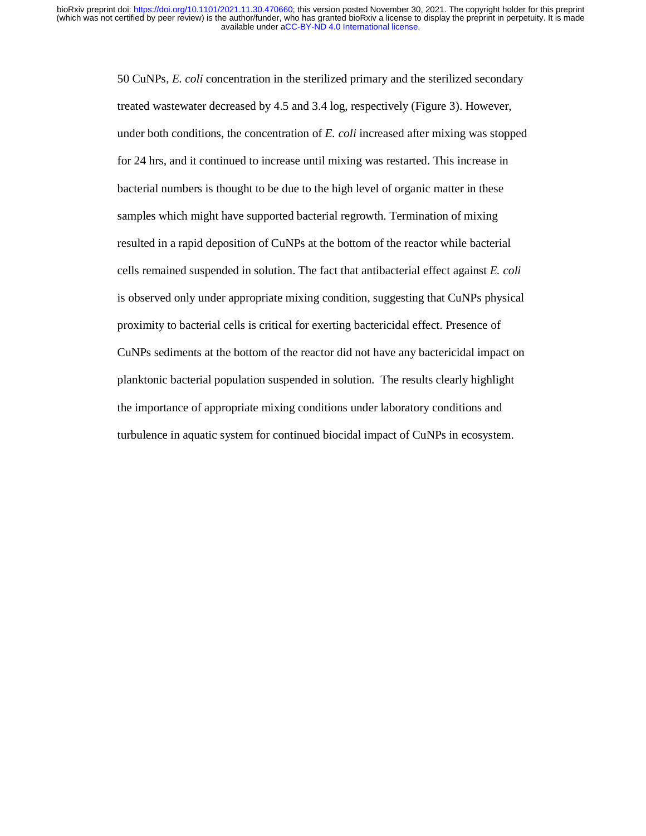50 CuNPs, *E. coli* concentration in the sterilized primary and the sterilized secondary treated wastewater decreased by 4.5 and 3.4 log, respectively (Figure 3). However, under both conditions, the concentration of *E. coli* increased after mixing was stopped for 24 hrs, and it continued to increase until mixing was restarted. This increase in bacterial numbers is thought to be due to the high level of organic matter in these samples which might have supported bacterial regrowth. Termination of mixing resulted in a rapid deposition of CuNPs at the bottom of the reactor while bacterial cells remained suspended in solution. The fact that antibacterial effect against *E. coli* is observed only under appropriate mixing condition, suggesting that CuNPs physical proximity to bacterial cells is critical for exerting bactericidal effect. Presence of CuNPs sediments at the bottom of the reactor did not have any bactericidal impact on planktonic bacterial population suspended in solution. The results clearly highlight the importance of appropriate mixing conditions under laboratory conditions and turbulence in aquatic system for continued biocidal impact of CuNPs in ecosystem.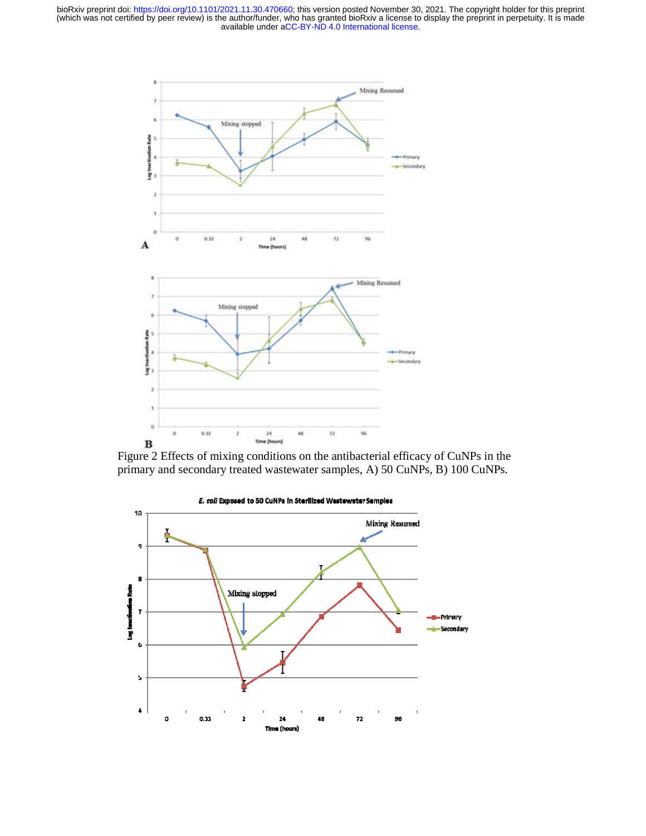

Figure 2 Effects of mixing conditions on the antibacterial efficacy of CuNPs in the primary and secondary treated wastewater samples, A) 50 CuNPs, B) 100 CuNPs*.* 

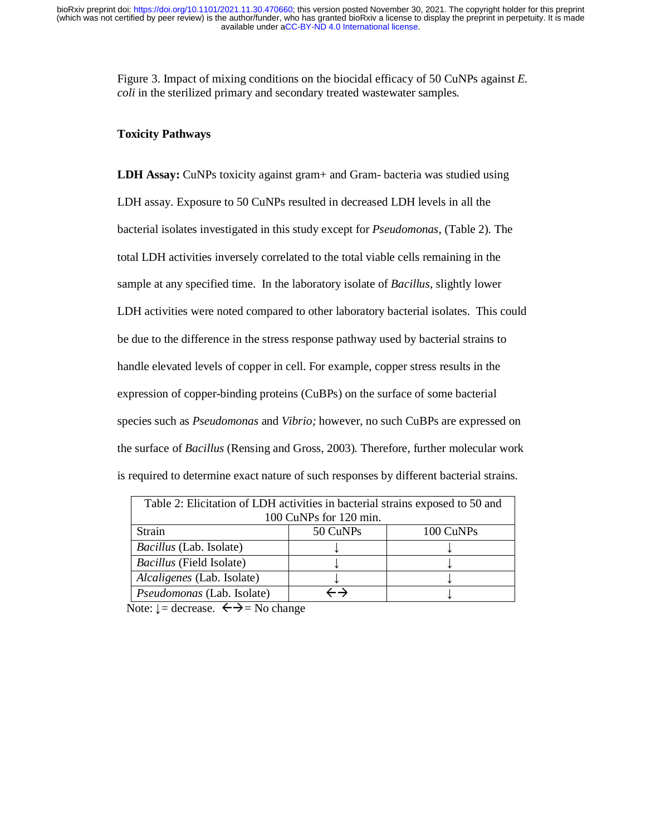Figure 3. Impact of mixing conditions on the biocidal efficacy of 50 CuNPs against *E. coli* in the sterilized primary and secondary treated wastewater samples*.*

# **Toxicity Pathways**

**LDH Assay:** CuNPs toxicity against gram+ and Gram- bacteria was studied using LDH assay. Exposure to 50 CuNPs resulted in decreased LDH levels in all the bacterial isolates investigated in this study except for *Pseudomonas*, (Table 2). The total LDH activities inversely correlated to the total viable cells remaining in the sample at any specified time. In the laboratory isolate of *Bacillus,* slightly lower LDH activities were noted compared to other laboratory bacterial isolates. This could be due to the difference in the stress response pathway used by bacterial strains to handle elevated levels of copper in cell. For example, copper stress results in the expression of copper-binding proteins (CuBPs) on the surface of some bacterial species such as *Pseudomonas* and *Vibrio;* however, no such CuBPs are expressed on the surface of *Bacillus* (Rensing and Gross, 2003)*.* Therefore, further molecular work is required to determine exact nature of such responses by different bacterial strains.

| Table 2: Elicitation of LDH activities in bacterial strains exposed to 50 and<br>100 CuNPs for 120 min. |          |           |  |  |  |
|---------------------------------------------------------------------------------------------------------|----------|-----------|--|--|--|
| Strain                                                                                                  | 50 CuNPs | 100 CuNPs |  |  |  |
| Bacillus (Lab. Isolate)                                                                                 |          |           |  |  |  |
| Bacillus (Field Isolate)                                                                                |          |           |  |  |  |
| <i>Alcaligenes</i> (Lab. Isolate)                                                                       |          |           |  |  |  |
| <i>Pseudomonas</i> (Lab. Isolate)                                                                       |          |           |  |  |  |
| $\frac{1}{\pi}$                                                                                         |          |           |  |  |  |

Note:  $\downarrow$  = decrease.  $\leftrightarrow$  = No change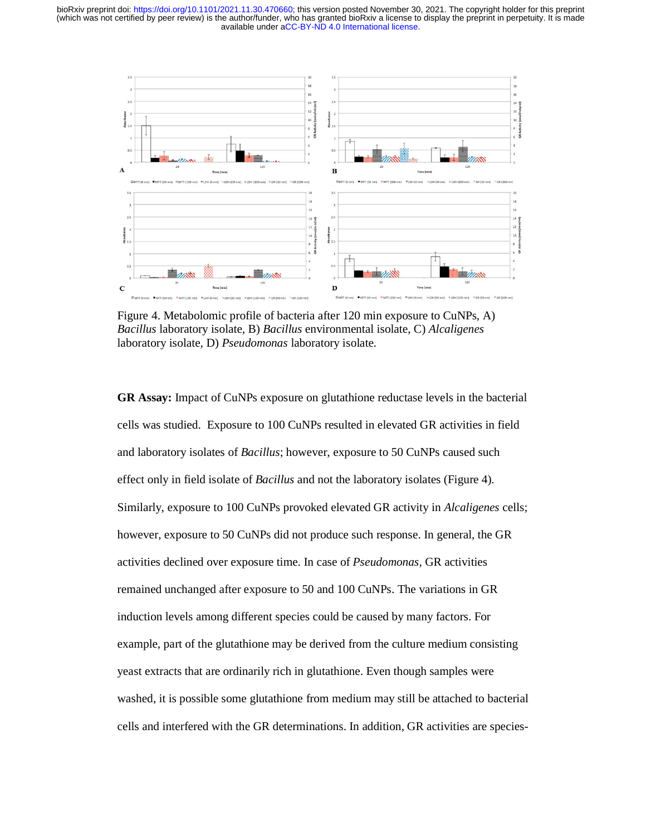

Figure 4. Metabolomic profile of bacteria after 120 min exposure to CuNPs, A) *Bacillus* laboratory isolate, B) *Bacillus* environmental isolate, C) *Alcaligenes* laboratory isolate*,* D) *Pseudomonas* laboratory isolate*.*

**GR Assay:** Impact of CuNPs exposure on glutathione reductase levels in the bacterial cells was studied. Exposure to 100 CuNPs resulted in elevated GR activities in field and laboratory isolates of *Bacillus*; however, exposure to 50 CuNPs caused such effect only in field isolate of *Bacillus* and not the laboratory isolates (Figure 4)*.*  Similarly, exposure to 100 CuNPs provoked elevated GR activity in *Alcaligenes* cells; however, exposure to 50 CuNPs did not produce such response. In general, the GR activities declined over exposure time. In case of *Pseudomonas,* GR activities remained unchanged after exposure to 50 and 100 CuNPs. The variations in GR induction levels among different species could be caused by many factors. For example, part of the glutathione may be derived from the culture medium consisting yeast extracts that are ordinarily rich in glutathione. Even though samples were washed, it is possible some glutathione from medium may still be attached to bacterial cells and interfered with the GR determinations. In addition, GR activities are species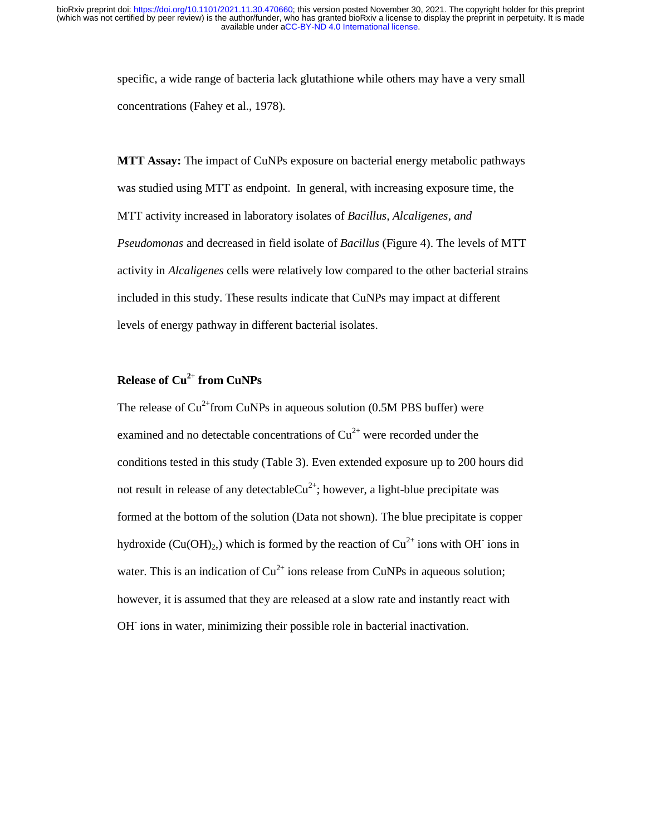specific, a wide range of bacteria lack glutathione while others may have a very small concentrations (Fahey et al., 1978).

**MTT Assay:** The impact of CuNPs exposure on bacterial energy metabolic pathways was studied using MTT as endpoint. In general, with increasing exposure time, the MTT activity increased in laboratory isolates of *Bacillus, Alcaligenes, and Pseudomonas* and decreased in field isolate of *Bacillus* (Figure 4). The levels of MTT activity in *Alcaligenes* cells were relatively low compared to the other bacterial strains included in this study. These results indicate that CuNPs may impact at different levels of energy pathway in different bacterial isolates.

# **Release of Cu2+ from CuNPs**

The release of  $Cu^{2+}$ from CuNPs in aqueous solution (0.5M PBS buffer) were examined and no detectable concentrations of  $Cu^{2+}$  were recorded under the conditions tested in this study (Table 3). Even extended exposure up to 200 hours did not result in release of any detectable  $Cu^{2+}$ ; however, a light-blue precipitate was formed at the bottom of the solution (Data not shown). The blue precipitate is copper hydroxide (Cu(OH)<sub>2</sub>,) which is formed by the reaction of Cu<sup>2+</sup> ions with OH<sup>-</sup> ions in water. This is an indication of  $Cu^{2+}$  ions release from CuNPs in aqueous solution; however, it is assumed that they are released at a slow rate and instantly react with OH ions in water, minimizing their possible role in bacterial inactivation.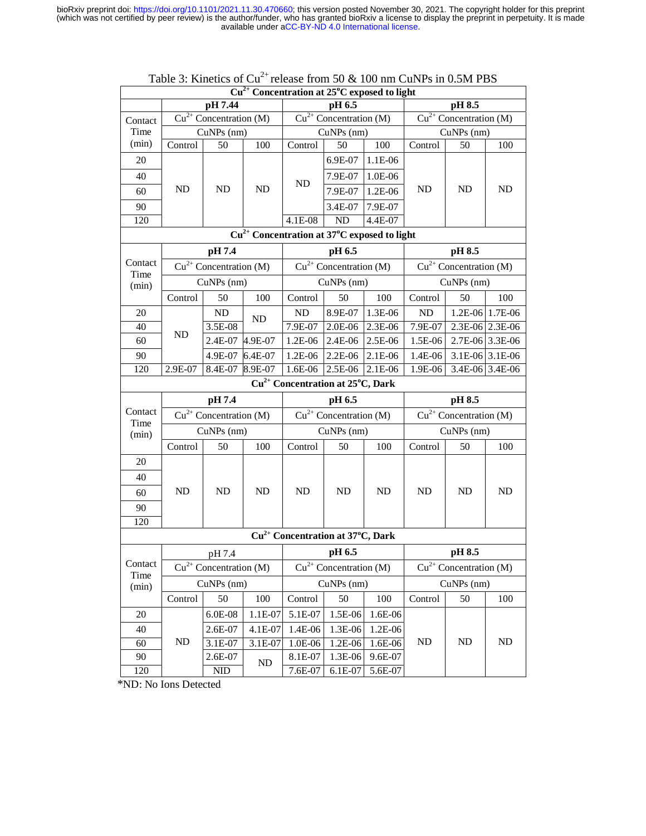| Lavie 5. Kinetics of Cu electric from 50 $\alpha$ Too fini Curves in 0.5 Net EDS<br>$Cu2+$ Concentration at 25 <sup>o</sup> C exposed to light |                             |                             |            |                                                 |                                                 |                          |                          |           |                   |
|------------------------------------------------------------------------------------------------------------------------------------------------|-----------------------------|-----------------------------|------------|-------------------------------------------------|-------------------------------------------------|--------------------------|--------------------------|-----------|-------------------|
| pH 7.44<br>pH 6.5<br>pH 8.5                                                                                                                    |                             |                             |            |                                                 |                                                 |                          |                          |           |                   |
| Contact                                                                                                                                        |                             | $Cu^{2+}$ Concentration (M) |            |                                                 | $\overline{\mathrm{Cu}}^{2+}$ Concentration (M) |                          | $Cu2+$ Concentration (M) |           |                   |
| Time                                                                                                                                           |                             | CuNPs (nm)                  |            | CuNPs (nm)                                      |                                                 | CuNPs (nm)               |                          |           |                   |
| (min)                                                                                                                                          | Control                     | 50                          | 100        | Control                                         | 50                                              | 100                      | Control                  | 50        | 100               |
| 20                                                                                                                                             |                             |                             |            |                                                 | 6.9E-07                                         | 1.1E-06                  |                          |           |                   |
| 40                                                                                                                                             |                             |                             | ND         | ND                                              | 7.9E-07                                         | 1.0E-06                  | ND                       |           |                   |
| 60                                                                                                                                             | ND                          | ND                          |            |                                                 | 7.9E-07                                         | 1.2E-06                  |                          | ND        | ND                |
| 90                                                                                                                                             |                             |                             |            |                                                 | 3.4E-07                                         | 7.9E-07                  |                          |           |                   |
| 120                                                                                                                                            |                             |                             |            | 4.1E-08                                         | ND                                              | 4.4E-07                  |                          |           |                   |
| $Cu2+$ Concentration at 37 <sup>o</sup> C exposed to light                                                                                     |                             |                             |            |                                                 |                                                 |                          |                          |           |                   |
| pH 7.4<br>pH 8.5<br>pH 6.5                                                                                                                     |                             |                             |            |                                                 |                                                 |                          |                          |           |                   |
| Contact<br>Time                                                                                                                                | $Cu^{2+}$ Concentration (M) |                             |            | $Cu2+$ Concentration (M)                        |                                                 | $Cu2+$ Concentration (M) |                          |           |                   |
| (min)                                                                                                                                          | CuNPs (nm)                  |                             | CuNPs (nm) |                                                 |                                                 | CuNPs (nm)               |                          |           |                   |
|                                                                                                                                                | Control                     | 50                          | 100        | Control                                         | 50                                              | 100                      | Control                  | 50        | 100               |
| 20                                                                                                                                             |                             | ND                          | ND         | <b>ND</b>                                       | 8.9E-07                                         | 1.3E-06                  | ND                       |           | 1.2E-06 1.7E-06   |
| 40                                                                                                                                             | <b>ND</b>                   | 3.5E-08                     |            | 7.9E-07                                         | 2.0E-06                                         | 2.3E-06                  | 7.9E-07                  |           | $2.3E-06$ 2.3E-06 |
| 60                                                                                                                                             |                             | 2.4E-07                     | 4.9E-07    | 1.2E-06                                         | 2.4E-06                                         | 2.5E-06                  | 1.5E-06                  |           | 2.7E-06 3.3E-06   |
| 90                                                                                                                                             |                             | 4.9E-07                     | 6.4E-07    | 1.2E-06                                         | 2.2E-06                                         | 2.1E-06                  | 1.4E-06                  | $3.1E-06$ | 3.1E-06           |
| 120                                                                                                                                            | 2.9E-07                     | 8.4E-07                     | 8.9E-07    | 1.6E-06                                         | 2.5E-06                                         | 2.1E-06                  | 1.9E-06                  |           | 3.4E-06 3.4E-06   |
|                                                                                                                                                |                             |                             |            | $Cu2+$ Concentration at 25 <sup>o</sup> C, Dark |                                                 |                          |                          |           |                   |
|                                                                                                                                                |                             | pH 7.4                      |            |                                                 | pH 6.5                                          |                          |                          | pH 8.5    |                   |
| Contact<br>Time                                                                                                                                | $Cu2+$ Concentration (M)    |                             |            | $Cu2+$ Concentration (M)                        |                                                 |                          | $Cu2+$ Concentration (M) |           |                   |
| (min)                                                                                                                                          | CuNPs (nm)                  |                             |            | CuNPs (nm)                                      |                                                 |                          | CuNPs (nm)               |           |                   |
|                                                                                                                                                | Control                     | 50                          | 100        | Control                                         | 50                                              | 100                      | Control                  | 50        | 100               |
| 20                                                                                                                                             |                             |                             |            |                                                 |                                                 |                          |                          |           |                   |
| 40                                                                                                                                             |                             |                             |            |                                                 |                                                 |                          |                          |           |                   |
| 60                                                                                                                                             | ND                          | ND                          | ND         | ND                                              | <b>ND</b>                                       | ND                       | ND                       | ND        | ND                |
| 90                                                                                                                                             |                             |                             |            |                                                 |                                                 |                          |                          |           |                   |
| 120                                                                                                                                            |                             |                             |            |                                                 |                                                 |                          |                          |           |                   |
| $Cu2+$ Concentration at 37 <sup>o</sup> C, Dark                                                                                                |                             |                             |            |                                                 |                                                 |                          |                          |           |                   |
|                                                                                                                                                |                             | pH 7.4                      | pH 6.5     |                                                 | pH 8.5                                          |                          |                          |           |                   |
| Contact<br>$Cu2+$ Concentration (M)<br>Time                                                                                                    |                             | $Cu2+$ Concentration (M)    |            |                                                 | $Cu2+$ Concentration (M)                        |                          |                          |           |                   |
| (min)                                                                                                                                          | CuNPs (nm)                  |                             | CuNPs (nm) |                                                 | CuNPs (nm)                                      |                          |                          |           |                   |
|                                                                                                                                                | Control                     | 50                          | 100        | Control                                         | 50                                              | 100                      | Control                  | 50        | 100               |
| 20                                                                                                                                             |                             | 6.0E-08                     | 1.1E-07    | 5.1E-07                                         | 1.5E-06                                         | 1.6E-06                  |                          |           |                   |
| 40                                                                                                                                             |                             | 2.6E-07                     | 4.1E-07    | 1.4E-06                                         | 1.3E-06                                         | 1.2E-06                  |                          |           |                   |
| 60                                                                                                                                             | ND                          | 3.1E-07                     | 3.1E-07    | 1.0E-06                                         | 1.2E-06                                         | 1.6E-06                  | ND                       | ND        | ND                |
| 90                                                                                                                                             |                             | 2.6E-07                     | ND         | 8.1E-07                                         | 1.3E-06                                         | 9.6E-07                  |                          |           |                   |
| 120                                                                                                                                            |                             | <b>NID</b>                  |            | 7.6E-07                                         | 6.1E-07                                         | 5.6E-07                  |                          |           |                   |

| Table 3: Kinetics of $Cu^{2+}$ release from 50 & 100 nm CuNPs in 0.5M PBS |  |  |
|---------------------------------------------------------------------------|--|--|

\*ND: No Ions Detected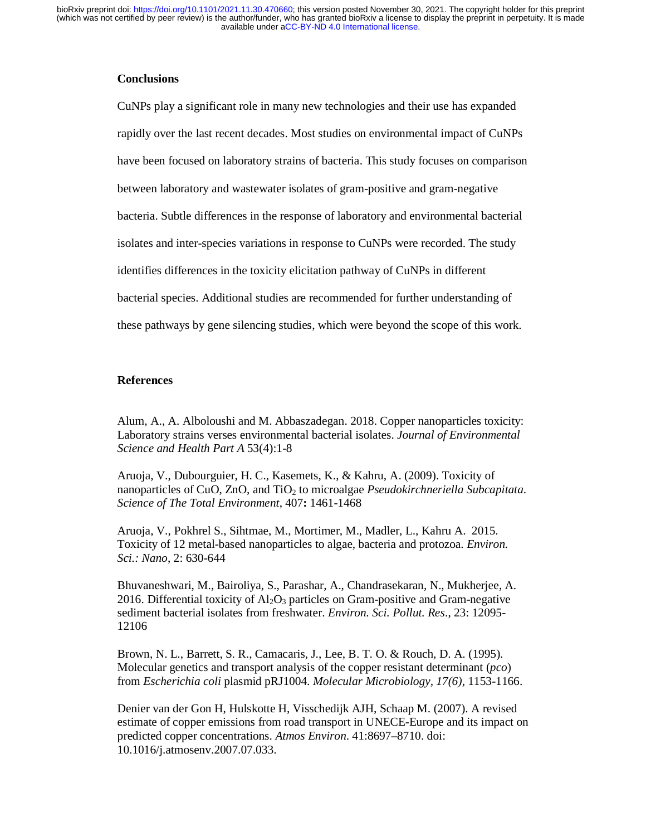## **Conclusions**

CuNPs play a significant role in many new technologies and their use has expanded rapidly over the last recent decades. Most studies on environmental impact of CuNPs have been focused on laboratory strains of bacteria. This study focuses on comparison between laboratory and wastewater isolates of gram-positive and gram-negative bacteria. Subtle differences in the response of laboratory and environmental bacterial isolates and inter-species variations in response to CuNPs were recorded. The study identifies differences in the toxicity elicitation pathway of CuNPs in different bacterial species. Additional studies are recommended for further understanding of these pathways by gene silencing studies, which were beyond the scope of this work.

#### **References**

Alum, A., A. Alboloushi and M. Abbaszadegan. 2018. Copper nanoparticles toxicity: Laboratory strains verses environmental bacterial isolates. *Journal of Environmental Science and Health Part A* 53(4):1-8

Aruoja, V., Dubourguier, H. C., Kasemets, K., & Kahru, A. (2009). Toxicity of nanoparticles of CuO, ZnO, and TiO2 to microalgae *Pseudokirchneriella Subcapitata*. *Science of The Total Environment*, 407**:** 1461-1468

Aruoja, V., Pokhrel S., Sihtmae, M., Mortimer, M., Madler, L., Kahru A. 2015*.*  Toxicity of 12 metal-based nanoparticles to algae, bacteria and protozoa. *Environ. Sci.: Nano*, 2: 630-644

Bhuvaneshwari, M., Bairoliya, S., Parashar, A., Chandrasekaran, N., Mukherjee, A. 2016. Differential toxicity of  $Al_2O_3$  particles on Gram-positive and Gram-negative sediment bacterial isolates from freshwater. *Environ. Sci. Pollut. Res*., 23: 12095- 12106

Brown, N. L., Barrett, S. R., Camacaris, J., Lee, B. T. O. & Rouch, D. A. (1995). Molecular genetics and transport analysis of the copper resistant determinant (*pco*) from *Escherichia coli* plasmid pRJ1004. *Molecular Microbiology, 17(6),* 1153-1166.

Denier van der Gon H, Hulskotte H, Visschedijk AJH, Schaap M. (2007). A revised estimate of copper emissions from road transport in UNECE-Europe and its impact on predicted copper concentrations. *Atmos Environ*. 41:8697–8710. doi: 10.1016/j.atmosenv.2007.07.033.